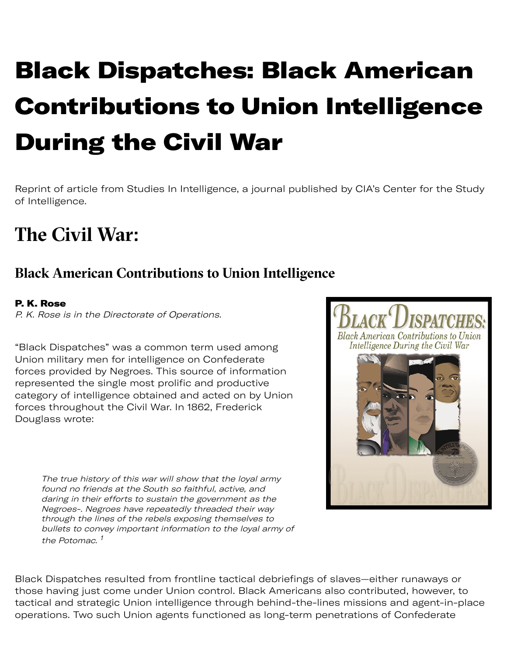# Black Dispatches: Black American Contributions to Union Intelligence During the Civil War

[Reprint of article from Studies In Intelligence, a journal published by CIA's Center for the Study](file:///library/center-for-the-study-of-intelligence/index.html) of Intelligence.

## **The Civil War:**

#### **Black American Contributions to Union Intelligence**

#### P. K. Rose

P. K. Rose is in the Directorate of Operations.

"Black Dispatches" was a common term used among Union military men for intelligence on Confederate forces provided by Negroes. This source of information represented the single most prolific and productive category of intelligence obtained and acted on by Union forces throughout the Civil War. In 1862, Frederick Douglass wrote:

The true history of this war will show that the loyal army found no friends at the South so faithful, active, and daring in their efforts to sustain the government as the Negroes-. Negroes have repeatedly threaded their way through the lines of the rebels exposing themselves to bullets to convey important information to the loyal army of the Potomac. <sup>[1](#page-8-0)</sup>

Black Dispatches resulted from frontline tactical debriefings of slaves—either runaways or those having just come under Union control. Black Americans also contributed, however, to tactical and strategic Union intelligence through behind-the-lines missions and agent-in-place operations. Two such Union agents functioned as long-term penetrations of Confederate

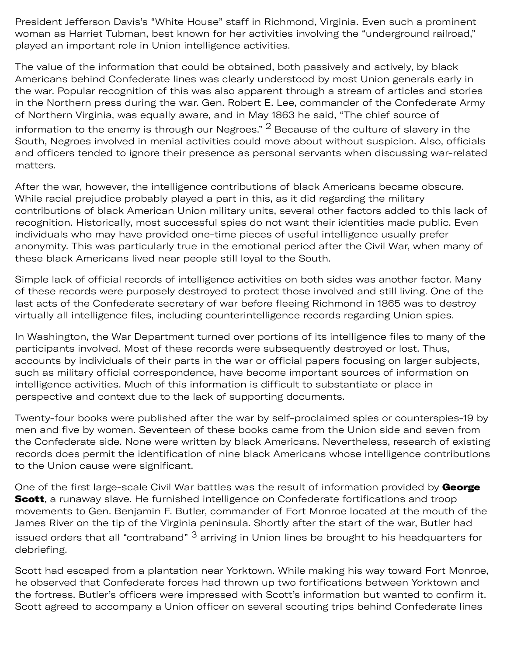President Jefferson Davis's "White House" staff in Richmond, Virginia. Even such a prominent woman as Harriet Tubman, best known for her activities involving the "underground railroad," played an important role in Union intelligence activities.

The value of the information that could be obtained, both passively and actively, by black Americans behind Confederate lines was clearly understood by most Union generals early in the war. Popular recognition of this was also apparent through a stream of articles and stories in the Northern press during the war. Gen. Robert E. Lee, commander of the Confederate Army of Northern Virginia, was equally aware, and in May 1863 he said, "The chief source of

information to the enemy is through our Negroes."  $2$  Because of the culture of slavery in the South, Negroes involved in menial activities could move about without suspicion. Also, officials and officers tended to ignore their presence as personal servants when discussing war-related matters.

After the war, however, the intelligence contributions of black Americans became obscure. While racial prejudice probably played a part in this, as it did regarding the military contributions of black American Union military units, several other factors added to this lack of recognition. Historically, most successful spies do not want their identities made public. Even individuals who may have provided one-time pieces of useful intelligence usually prefer anonymity. This was particularly true in the emotional period after the Civil War, when many of these black Americans lived near people still loyal to the South.

Simple lack of official records of intelligence activities on both sides was another factor. Many of these records were purposely destroyed to protect those involved and still living. One of the last acts of the Confederate secretary of war before fleeing Richmond in 1865 was to destroy virtually all intelligence files, including counterintelligence records regarding Union spies.

In Washington, the War Department turned over portions of its intelligence files to many of the participants involved. Most of these records were subsequently destroyed or lost. Thus, accounts by individuals of their parts in the war or official papers focusing on larger subjects, such as military official correspondence, have become important sources of information on intelligence activities. Much of this information is difficult to substantiate or place in perspective and context due to the lack of supporting documents.

Twenty-four books were published after the war by self-proclaimed spies or counterspies-19 by men and five by women. Seventeen of these books came from the Union side and seven from the Confederate side. None were written by black Americans. Nevertheless, research of existing records does permit the identification of nine black Americans whose intelligence contributions to the Union cause were significant.

One of the first large-scale Civil War battles was the result of information provided by George Scott, a runaway slave. He furnished intelligence on Confederate fortifications and troop movements to Gen. Benjamin F. Butler, commander of Fort Monroe located at the mouth of the James River on the tip of the Virginia peninsula. Shortly after the start of the war, Butler had issued orders that all "contraband" <sup>3</sup> arriving in Union lines be brought to his headquarters for debriefing.

Scott had escaped from a plantation near Yorktown. While making his way toward Fort Monroe, he observed that Confederate forces had thrown up two fortifications between Yorktown and the fortress. Butler's officers were impressed with Scott's information but wanted to confirm it. Scott agreed to accompany a Union officer on several scouting trips behind Confederate lines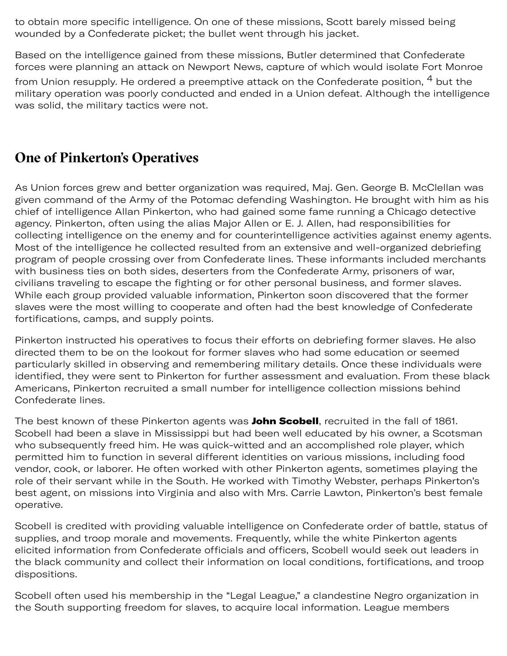to obtain more specific intelligence. On one of these missions, Scott barely missed being wounded by a Confederate picket; the bullet went through his jacket.

Based on the intelligence gained from these missions, Butler determined that Confederate forces were planning an attack on Newport News, capture of which would isolate Fort Monroe

from Union resupply. He ordered a preemptive attack on the Confederate position, <sup>4</sup> but the military operation was poorly conducted and ended in a Union defeat. Although the intelligence was solid, the military tactics were not.

#### **One of Pinkerton's Operatives**

As Union forces grew and better organization was required, Maj. Gen. George B. McClellan was given command of the Army of the Potomac defending Washington. He brought with him as his chief of intelligence Allan Pinkerton, who had gained some fame running a Chicago detective agency. Pinkerton, often using the alias Major Allen or E. J. Allen, had responsibilities for collecting intelligence on the enemy and for counterintelligence activities against enemy agents. Most of the intelligence he collected resulted from an extensive and well-organized debriefing program of people crossing over from Confederate lines. These informants included merchants with business ties on both sides, deserters from the Confederate Army, prisoners of war, civilians traveling to escape the fighting or for other personal business, and former slaves. While each group provided valuable information, Pinkerton soon discovered that the former slaves were the most willing to cooperate and often had the best knowledge of Confederate fortifications, camps, and supply points.

Pinkerton instructed his operatives to focus their efforts on debriefing former slaves. He also directed them to be on the lookout for former slaves who had some education or seemed particularly skilled in observing and remembering military details. Once these individuals were identified, they were sent to Pinkerton for further assessment and evaluation. From these black Americans, Pinkerton recruited a small number for intelligence collection missions behind Confederate lines.

The best known of these Pinkerton agents was [John Scobell](file:///library/center-for-the-study-of-intelligence/csi-publications/books-and-monographs/black-dispatches/scobell.jpg/image.jpg), recruited in the fall of 1861. Scobell had been a slave in Mississippi but had been well educated by his owner, a Scotsman who subsequently freed him. He was quick-witted and an accomplished role player, which permitted him to function in several different identities on various missions, including food vendor, cook, or laborer. He often worked with other Pinkerton agents, sometimes playing the role of their servant while in the South. He worked with Timothy Webster, perhaps Pinkerton's best agent, on missions into Virginia and also with Mrs. Carrie Lawton, Pinkerton's best female operative.

Scobell is credited with providing valuable intelligence on Confederate order of battle, status of supplies, and troop morale and movements. Frequently, while the white Pinkerton agents elicited information from Confederate officials and officers, Scobell would seek out leaders in the black community and collect their information on local conditions, fortifications, and troop dispositions.

Scobell often used his membership in the "Legal League," a clandestine Negro organization in the South supporting freedom for slaves, to acquire local information. League members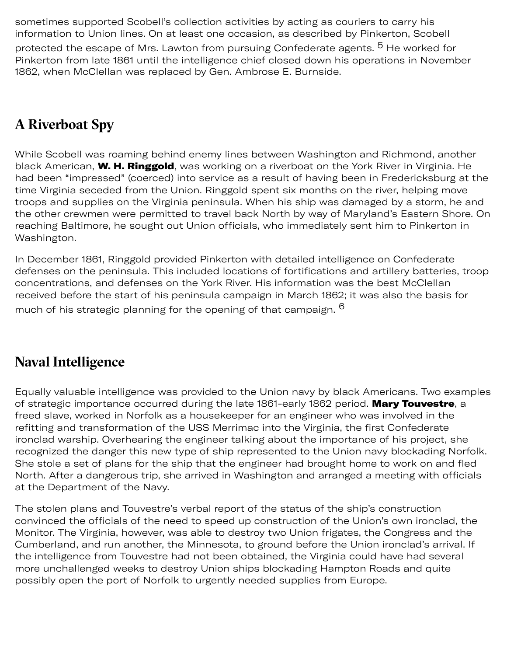sometimes supported Scobell's collection activities by acting as couriers to carry his information to Union lines. On at least one occasion, as described by Pinkerton, Scobell protected the escape of Mrs. Lawton from pursuing Confederate agents. <sup>5</sup> He worked for Pinkerton from late 1861 until the intelligence chief closed down his operations in November

1862, when McClellan was replaced by Gen. Ambrose E. Burnside.

### **A Riverboat Spy**

While Scobell was roaming behind enemy lines between Washington and Richmond, another black American, W. H. Ringgold, was working on a riverboat on the York River in Virginia. He had been "impressed" (coerced) into service as a result of having been in Fredericksburg at the time Virginia seceded from the Union. Ringgold spent six months on the river, helping move troops and supplies on the Virginia peninsula. When his ship was damaged by a storm, he and the other crewmen were permitted to travel back North by way of Maryland's Eastern Shore. On reaching Baltimore, he sought out Union officials, who immediately sent him to Pinkerton in Washington.

In December 1861, Ringgold provided Pinkerton with detailed intelligence on Confederate defenses on the peninsula. This included locations of fortifications and artillery batteries, troop concentrations, and defenses on the York River. His information was the best McClellan received before the start of his peninsula campaign in March 1862; it was also the basis for much of his strategic planning for the opening of that campaign. <sup>[6](#page-8-5)</sup>

#### **Naval Intelligence**

Equally valuable intelligence was provided to the Union navy by black Americans. Two examples of strategic importance occurred during the late 1861-early 1862 period. Mary Touvestre, a freed slave, worked in Norfolk as a housekeeper for an engineer who was involved in the refitting and transformation of the USS Merrimac into the Virginia, the first Confederate ironclad warship. Overhearing the engineer talking about the importance of his project, she recognized the danger this new type of ship represented to the Union navy blockading Norfolk. She stole a set of plans for the ship that the engineer had brought home to work on and fled North. After a dangerous trip, she arrived in Washington and arranged a meeting with officials at the Department of the Navy.

The stolen plans and Touvestre's verbal report of the status of the ship's construction convinced the officials of the need to speed up construction of the Union's own ironclad, the Monitor. The Virginia, however, was able to destroy two Union frigates, the Congress and the Cumberland, and run another, the Minnesota, to ground before the Union ironclad's arrival. If the intelligence from Touvestre had not been obtained, the Virginia could have had several more unchallenged weeks to destroy Union ships blockading Hampton Roads and quite possibly open the port of Norfolk to urgently needed supplies from Europe.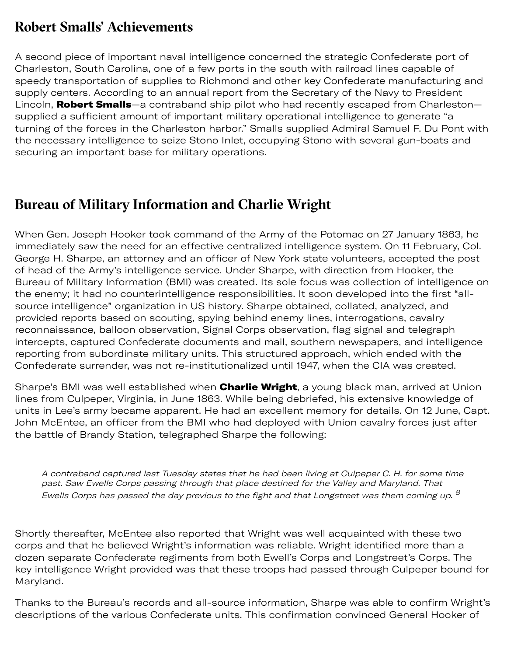#### **Robert Smalls' Achievements**

A second piece of important naval intelligence concerned the strategic Confederate port of Charleston, South Carolina, one of a few ports in the south with railroad lines capable of speedy transportation of supplies to Richmond and other key Confederate manufacturing and supply centers. According to an annual report from the Secretary of the Navy to President Lincoln, [Robert Smalls](file:///library/center-for-the-study-of-intelligence/csi-publications/books-and-monographs/black-dispatches/smalls.jpg/image.jpg)-a contraband ship pilot who had recently escaped from Charlestonsupplied a sufficient amount of important military operational intelligence to generate "a turning of the forces in the Charleston harbor." Smalls supplied Admiral Samuel F. Du Pont with the necessary intelligence to seize Stono Inlet, occupying Stono with several gun-boats and securing an important base for military operations.

#### **Bureau of Military Information and Charlie Wright**

When Gen. Joseph Hooker took command of the Army of the Potomac on 27 January 1863, he immediately saw the need for an effective centralized intelligence system. On 11 February, Col. George H. Sharpe, an attorney and an officer of New York state volunteers, accepted the post of head of the Army's intelligence service. Under Sharpe, with direction from Hooker, the Bureau of Military Information (BMI) was created. Its sole focus was collection of intelligence on the enemy; it had no counterintelligence responsibilities. It soon developed into the first "allsource intelligence" organization in US history. Sharpe obtained, collated, analyzed, and provided reports based on scouting, spying behind enemy lines, interrogations, cavalry reconnaissance, balloon observation, Signal Corps observation, flag signal and telegraph intercepts, captured Confederate documents and mail, southern newspapers, and intelligence reporting from subordinate military units. This structured approach, which ended with the Confederate surrender, was not re-institutionalized until 1947, when the CIA was created.

Sharpe's BMI was well established when Charlie Wright, a young black man, arrived at Union lines from Culpeper, Virginia, in June 1863. While being debriefed, his extensive knowledge of units in Lee's army became apparent. He had an excellent memory for details. On 12 June, Capt. John McEntee, an officer from the BMI who had deployed with Union cavalry forces just after the battle of Brandy Station, telegraphed Sharpe the following:

A contraband captured last Tuesday states that he had been living at Culpeper C. H. for some time past. Saw Ewells Corps passing through that place destined for the Valley and Maryland. That Ewells Corps has passed the day previous to the fight and that Longstreet was them coming up.  $^8$  $^8$ 

Shortly thereafter, McEntee also reported that Wright was well acquainted with these two corps and that he believed Wright's information was reliable. Wright identified more than a dozen separate Confederate regiments from both Ewell's Corps and Longstreet's Corps. The key intelligence Wright provided was that these troops had passed through Culpeper bound for Maryland.

Thanks to the Bureau's records and all-source information, Sharpe was able to confirm Wright's descriptions of the various Confederate units. This confirmation convinced General Hooker of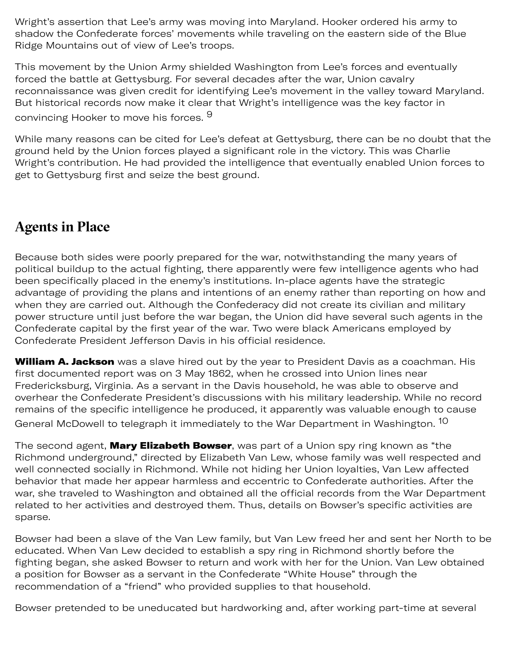Wright's assertion that Lee's army was moving into Maryland. Hooker ordered his army to shadow the Confederate forces' movements while traveling on the eastern side of the Blue Ridge Mountains out of view of Lee's troops.

This movement by the Union Army shielded Washington from Lee's forces and eventually forced the battle at Gettysburg. For several decades after the war, Union cavalry reconnaissance was given credit for identifying Lee's movement in the valley toward Maryland. But historical records now make it clear that Wright's intelligence was the key factor in convincing Hooker to move his forces. <sup>9</sup>

While many reasons can be cited for Lee's defeat at Gettysburg, there can be no doubt that the ground held by the Union forces played a significant role in the victory. This was Charlie Wright's contribution. He had provided the intelligence that eventually enabled Union forces to get to Gettysburg first and seize the best ground.

#### **Agents in Place**

Because both sides were poorly prepared for the war, notwithstanding the many years of political buildup to the actual fighting, there apparently were few intelligence agents who had been specifically placed in the enemy's institutions. In-place agents have the strategic advantage of providing the plans and intentions of an enemy rather than reporting on how and when they are carried out. Although the Confederacy did not create its civilian and military power structure until just before the war began, the Union did have several such agents in the Confederate capital by the first year of the war. Two were black Americans employed by Confederate President Jefferson Davis in his official residence.

William A. Jackson was a slave hired out by the year to President Davis as a coachman. His first documented report was on 3 May 1862, when he crossed into Union lines near Fredericksburg, Virginia. As a servant in the Davis household, he was able to observe and overhear the Confederate President's discussions with his military leadership. While no record remains of the specific intelligence he produced, it apparently was valuable enough to cause General McDowell to telegraph it immediately to the War Department in Washington. [10](#page-8-8) 

The second agent, **[Mary Elizabeth Bowser](file:///library/center-for-the-study-of-intelligence/csi-publications/books-and-monographs/black-dispatches/boswer.jpg/image.jpg)**, was part of a Union spy ring known as "the Richmond underground," directed by Elizabeth Van Lew, whose family was well respected and well connected socially in Richmond. While not hiding her Union loyalties, Van Lew affected behavior that made her appear harmless and eccentric to Confederate authorities. After the war, she traveled to Washington and obtained all the official records from the War Department related to her activities and destroyed them. Thus, details on Bowser's specific activities are sparse.

Bowser had been a slave of the Van Lew family, but Van Lew freed her and sent her North to be educated. When Van Lew decided to establish a spy ring in Richmond shortly before the fighting began, she asked Bowser to return and work with her for the Union. Van Lew obtained a position for Bowser as a servant in the Confederate "White House" through the recommendation of a "friend" who provided supplies to that household.

Bowser pretended to be uneducated but hardworking and, after working part-time at several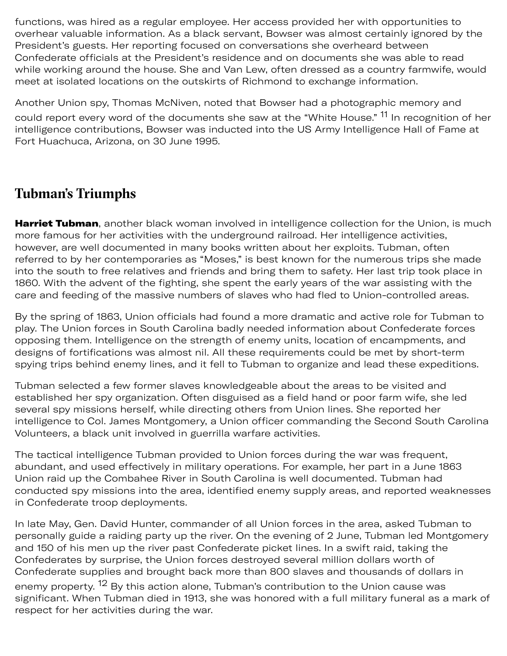functions, was hired as a regular employee. Her access provided her with opportunities to overhear valuable information. As a black servant, Bowser was almost certainly ignored by the President's guests. Her reporting focused on conversations she overheard between Confederate officials at the President's residence and on documents she was able to read while working around the house. She and Van Lew, often dressed as a country farmwife, would meet at isolated locations on the outskirts of Richmond to exchange information.

Another Union spy, Thomas McNiven, noted that Bowser had a photographic memory and could report every word of the documents she saw at the "White House." <sup>11</sup> In recognition of her intelligence contributions, Bowser was inducted into the US Army Intelligence Hall of Fame at Fort Huachuca, Arizona, on 30 June 1995.

#### **Tubman's Triumphs**

[Harriet Tubman](file:///library/center-for-the-study-of-intelligence/csi-publications/books-and-monographs/black-dispatches/tubman.jpg/image.jpg), another black woman involved in intelligence collection for the Union, is much more famous for her activities with the underground railroad. Her intelligence activities, however, are well documented in many books written about her exploits. Tubman, often referred to by her contemporaries as "Moses," is best known for the numerous trips she made into the south to free relatives and friends and bring them to safety. Her last trip took place in 1860. With the advent of the fighting, she spent the early years of the war assisting with the care and feeding of the massive numbers of slaves who had fled to Union-controlled areas.

By the spring of 1863, Union officials had found a more dramatic and active role for Tubman to play. The Union forces in South Carolina badly needed information about Confederate forces opposing them. Intelligence on the strength of enemy units, location of encampments, and designs of fortifications was almost nil. All these requirements could be met by short-term spying trips behind enemy lines, and it fell to Tubman to organize and lead these expeditions.

Tubman selected a few former slaves knowledgeable about the areas to be visited and established her spy organization. Often disguised as a field hand or poor farm wife, she led several spy missions herself, while directing others from Union lines. She reported her intelligence to Col. James Montgomery, a Union officer commanding the Second South Carolina Volunteers, a black unit involved in guerrilla warfare activities.

The tactical intelligence Tubman provided to Union forces during the war was frequent, abundant, and used effectively in military operations. For example, her part in a June 1863 Union raid up the Combahee River in South Carolina is well documented. Tubman had conducted spy missions into the area, identified enemy supply areas, and reported weaknesses in Confederate troop deployments.

In late May, Gen. David Hunter, commander of all Union forces in the area, asked Tubman to personally guide a raiding party up the river. On the evening of 2 June, Tubman led Montgomery and 150 of his men up the river past Confederate picket lines. In a swift raid, taking the Confederates by surprise, the Union forces destroyed several million dollars worth of Confederate supplies and brought back more than 800 slaves and thousands of dollars in enemy property. <sup>12</sup> By this action alone, Tubman's contribution to the Union cause was significant. When Tubman died in 1913, she was honored with a full military funeral as a mark of respect for her activities during the war.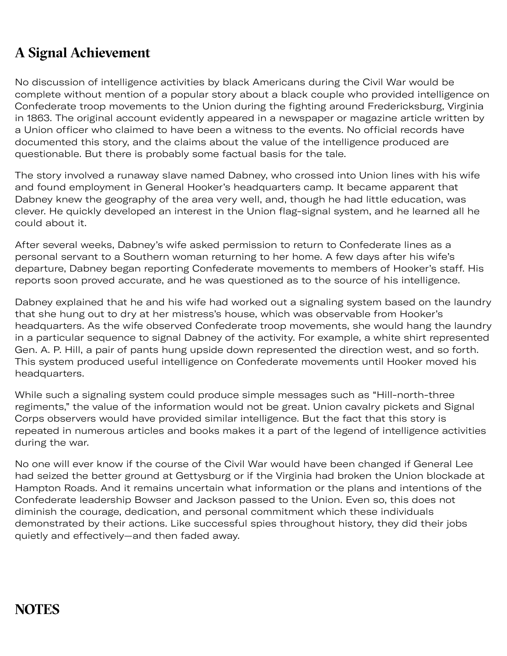#### **A Signal Achievement**

No discussion of intelligence activities by black Americans during the Civil War would be complete without mention of a popular story about a black couple who provided intelligence on Confederate troop movements to the Union during the fighting around Fredericksburg, Virginia in 1863. The original account evidently appeared in a newspaper or magazine article written by a Union officer who claimed to have been a witness to the events. No official records have documented this story, and the claims about the value of the intelligence produced are questionable. But there is probably some factual basis for the tale.

The story involved a runaway slave named Dabney, who crossed into Union lines with his wife and found employment in General Hooker's headquarters camp. It became apparent that Dabney knew the geography of the area very well, and, though he had little education, was clever. He quickly developed an interest in the Union flag-signal system, and he learned all he could about it.

After several weeks, Dabney's wife asked permission to return to Confederate lines as a personal servant to a Southern woman returning to her home. A few days after his wife's departure, Dabney began reporting Confederate movements to members of Hooker's staff. His reports soon proved accurate, and he was questioned as to the source of his intelligence.

Dabney explained that he and his wife had worked out a signaling system based on the laundry that she hung out to dry at her mistress's house, which was observable from Hooker's headquarters. As the wife observed Confederate troop movements, she would hang the laundry in a particular sequence to signal Dabney of the activity. For example, a white shirt represented Gen. A. P. Hill, a pair of pants hung upside down represented the direction west, and so forth. This system produced useful intelligence on Confederate movements until Hooker moved his headquarters.

While such a signaling system could produce simple messages such as "Hill-north-three regiments," the value of the information would not be great. Union cavalry pickets and Signal Corps observers would have provided similar intelligence. But the fact that this story is repeated in numerous articles and books makes it a part of the legend of intelligence activities during the war.

No one will ever know if the course of the Civil War would have been changed if General Lee had seized the better ground at Gettysburg or if the Virginia had broken the Union blockade at Hampton Roads. And it remains uncertain what information or the plans and intentions of the Confederate leadership Bowser and Jackson passed to the Union. Even so, this does not diminish the courage, dedication, and personal commitment which these individuals demonstrated by their actions. Like successful spies throughout history, they did their jobs quietly and effectively—and then faded away.

#### **NOTES**